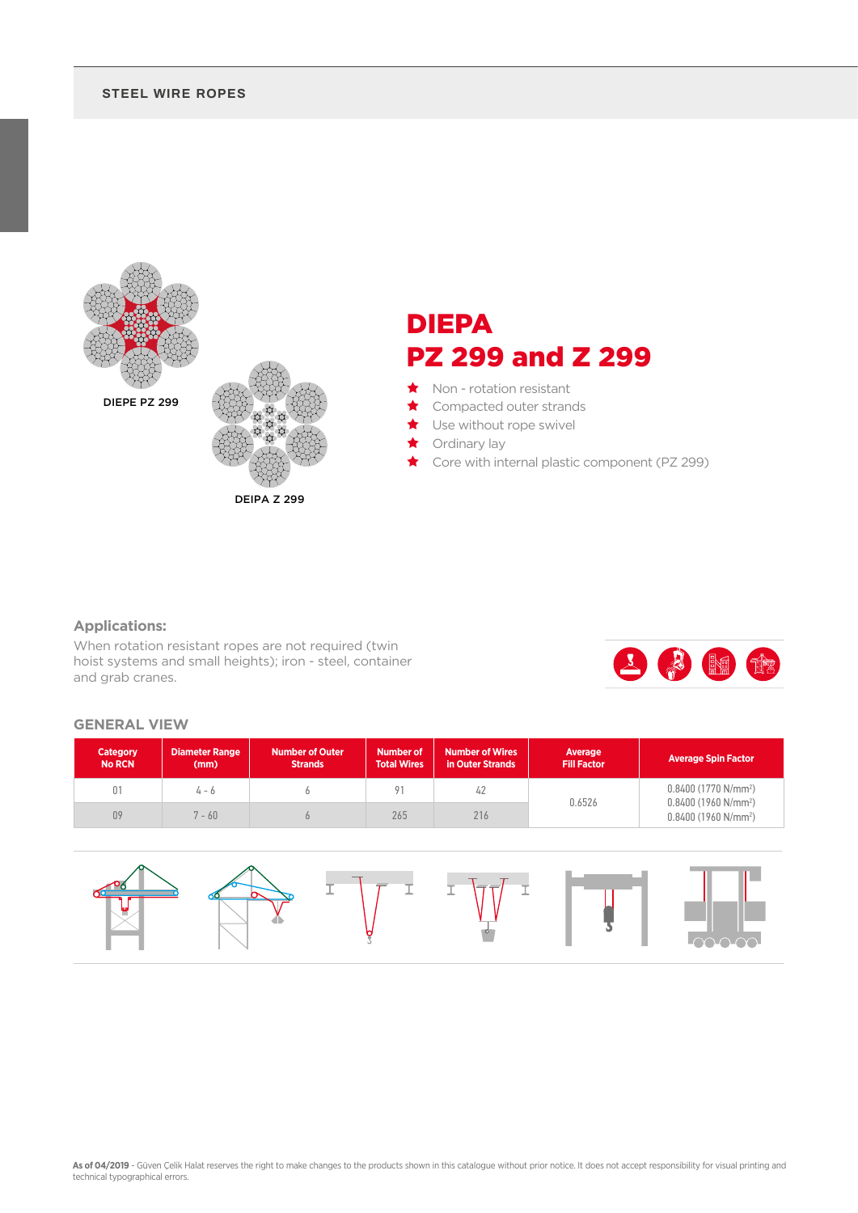#### **STEEL WIRE ROPES**



DEIPA Z 299

# DIEPA PZ 299 and Z 299

- ★ Non rotation resistant
- Compacted outer strands
- Use without rope swivel
- Ordinary lay
- Core with internal plastic component (PZ 299)

### **Applications:**

When rotation resistant ropes are not required (twin hoist systems and small heights); iron - steel, container and grab cranes.



#### **GENERAL VIEW**

| <b>Category</b><br><b>No RCN</b> | <b>Diameter Range</b><br>(mm) | <b>Number of Outer</b><br><b>Strands</b> | <b>Number of</b><br><b>Total Wires</b> | <b>Number of Wires</b><br>in Outer Strands | Average<br>Fill Factor | <b>Average Spin Factor</b>                     |  |
|----------------------------------|-------------------------------|------------------------------------------|----------------------------------------|--------------------------------------------|------------------------|------------------------------------------------|--|
| 01                               | 4 - 6                         |                                          | Q <sub>1</sub>                         | 42                                         |                        | $0.8400(1770 N/mm^2)$<br>$0.8400(1960 N/mm^2)$ |  |
| 09                               | $-60$                         |                                          | 265                                    | 216                                        | 0.6526                 | $0.8400(1960 N/mm^2)$                          |  |

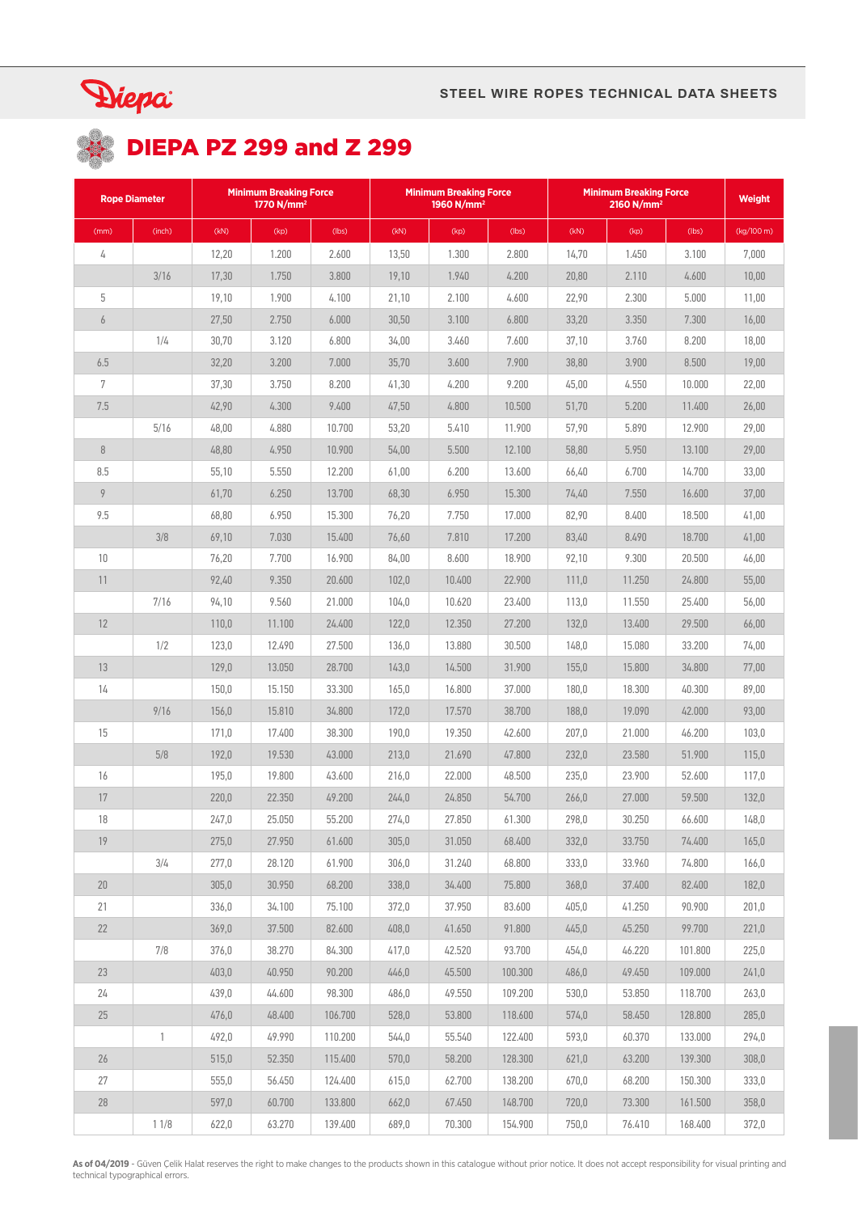

# **DIEPA PZ 299 and Z 299**

| <b>Rope Diameter</b> |              | <b>Minimum Breaking Force</b><br>1770 $N/mm^2$ |        |         | <b>Minimum Breaking Force</b><br>1960 N/mm <sup>2</sup> |        |         | <b>Minimum Breaking Force</b><br>2160 N/mm <sup>2</sup> |        |         | <b>Weight</b> |
|----------------------|--------------|------------------------------------------------|--------|---------|---------------------------------------------------------|--------|---------|---------------------------------------------------------|--------|---------|---------------|
| (mm)                 | (inch)       | (kN)                                           | (kp)   | (lbs)   | (kN)                                                    | (kp)   | (lbs)   | (kN)                                                    | (kp)   | (lbs)   | (kg/100 m)    |
| 4                    |              | 12,20                                          | 1.200  | 2.600   | 13,50                                                   | 1.300  | 2.800   | 14,70                                                   | 1.450  | 3.100   | 7,000         |
|                      | 3/16         | 17,30                                          | 1.750  | 3.800   | 19,10                                                   | 1.940  | 4.200   | 20,80                                                   | 2.110  | 4.600   | 10,00         |
| 5                    |              | 19,10                                          | 1.900  | 4.100   | 21,10                                                   | 2.100  | 4.600   | 22,90                                                   | 2.300  | 5.000   | 11,00         |
| $\boldsymbol{6}$     |              | 27,50                                          | 2.750  | 6.000   | 30,50                                                   | 3.100  | 6.800   | 33,20                                                   | 3.350  | 7.300   | 16,00         |
|                      | 1/4          | 30,70                                          | 3.120  | 6.800   | 34,00                                                   | 3.460  | 7.600   | 37,10                                                   | 3.760  | 8.200   | 18,00         |
| 6.5                  |              | 32,20                                          | 3.200  | 7.000   | 35,70                                                   | 3.600  | 7.900   | 38,80                                                   | 3.900  | 8.500   | 19,00         |
| $\overline{7}$       |              | 37,30                                          | 3.750  | 8.200   | 41,30                                                   | 4.200  | 9.200   | 45,00                                                   | 4.550  | 10.000  | 22,00         |
| 7.5                  |              | 42,90                                          | 4.300  | 9.400   | 47,50                                                   | 4.800  | 10.500  | 51,70                                                   | 5.200  | 11.400  | 26,00         |
|                      | 5/16         | 48,00                                          | 4.880  | 10.700  | 53,20                                                   | 5.410  | 11.900  | 57,90                                                   | 5.890  | 12.900  | 29,00         |
| $\, 8$               |              | 48,80                                          | 4.950  | 10.900  | 54,00                                                   | 5.500  | 12.100  | 58,80                                                   | 5.950  | 13.100  | 29,00         |
| 8.5                  |              | 55,10                                          | 5.550  | 12.200  | 61,00                                                   | 6.200  | 13.600  | 66,40                                                   | 6.700  | 14.700  | 33,00         |
| $\overline{9}$       |              | 61,70                                          | 6.250  | 13.700  | 68,30                                                   | 6.950  | 15.300  | 74,40                                                   | 7.550  | 16.600  | 37,00         |
| 9.5                  |              | 68,80                                          | 6.950  | 15.300  | 76,20                                                   | 7.750  | 17.000  | 82,90                                                   | 8.400  | 18.500  | 41,00         |
|                      | 3/8          | 69,10                                          | 7.030  | 15.400  | 76,60                                                   | 7.810  | 17.200  | 83,40                                                   | 8.490  | 18.700  | 41,00         |
| 10                   |              | 76,20                                          | 7.700  | 16.900  | 84,00                                                   | 8.600  | 18.900  | 92,10                                                   | 9.300  | 20.500  | 46,00         |
| 11                   |              | 92,40                                          | 9.350  | 20.600  | 102,0                                                   | 10.400 | 22.900  | 111,0                                                   | 11.250 | 24.800  | 55,00         |
|                      | 7/16         | 94,10                                          | 9.560  | 21.000  | 104,0                                                   | 10.620 | 23.400  | 113,0                                                   | 11.550 | 25.400  | 56,00         |
| 12                   |              | 110,0                                          | 11.100 | 24.400  | 122,0                                                   | 12.350 | 27.200  | 132,0                                                   | 13.400 | 29.500  | 66,00         |
|                      | 1/2          | 123,0                                          | 12.490 | 27.500  | 136,0                                                   | 13.880 | 30.500  | 148,0                                                   | 15.080 | 33.200  | 74,00         |
| 13                   |              | 129,0                                          | 13.050 | 28.700  | 143,0                                                   | 14.500 | 31.900  | 155,0                                                   | 15.800 | 34.800  | 77,00         |
| 14                   |              | 150,0                                          | 15.150 | 33.300  | 165,0                                                   | 16.800 | 37.000  | 180,0                                                   | 18.300 | 40.300  | 89,00         |
|                      | 9/16         | 156,0                                          | 15.810 | 34.800  | 172,0                                                   | 17.570 | 38.700  | 188,0                                                   | 19.090 | 42.000  | 93,00         |
| 15                   |              | 171,0                                          | 17.400 | 38.300  | 190,0                                                   | 19.350 | 42.600  | 207,0                                                   | 21.000 | 46.200  | 103,0         |
|                      | 5/8          | 192,0                                          | 19.530 | 43.000  | 213,0                                                   | 21.690 | 47.800  | 232,0                                                   | 23.580 | 51.900  | 115,0         |
| 16                   |              | 195,0                                          | 19.800 | 43.600  | 216,0                                                   | 22.000 | 48.500  | 235,0                                                   | 23.900 | 52.600  | 117,0         |
| 17                   |              | 220,0                                          | 22.350 | 49.200  | 244,0                                                   | 24.850 | 54.700  | 266,0                                                   | 27.000 | 59.500  | 132,0         |
| 18                   |              | 247,0                                          | 25.050 | 55.200  | 274,0                                                   | 27.850 | 61.300  | 298,0                                                   | 30.250 | 66.600  | 148,0         |
| 19                   |              | 275,0                                          | 27.950 | 61.600  | 305,0                                                   | 31.050 | 68.400  | 332,0                                                   | 33.750 | 74.400  | 165,0         |
|                      | 3/4          | 277,0                                          | 28.120 | 61.900  | 306,0                                                   | 31.240 | 68.800  | 333,0                                                   | 33.960 | 74.800  | 166,0         |
| 20                   |              | 305,0                                          | 30.950 | 68.200  | 338,0                                                   | 34.400 | 75,800  | 368,0                                                   | 37.400 | 82.400  | 182,0         |
| 21                   |              | 336,0                                          | 34.100 | 75.100  | 372,0                                                   | 37.950 | 83.600  | 405,0                                                   | 41.250 | 90.900  | 201,0         |
| 22                   |              | 369,0                                          | 37.500 | 82.600  | 408,0                                                   | 41.650 | 91.800  | 445,0                                                   | 45.250 | 99.700  | 221,0         |
|                      | 7/8          | 376,0                                          | 38.270 | 84.300  | 417,0                                                   | 42.520 | 93.700  | 454,0                                                   | 46.220 | 101.800 | 225,0         |
| 23                   |              | 403,0                                          | 40.950 | 90.200  | 446,0                                                   | 45.500 | 100.300 | 486,0                                                   | 49.450 | 109.000 | 241,0         |
| 24                   |              | 439,0                                          | 44.600 | 98.300  | 486,0                                                   | 49.550 | 109.200 | 530,0                                                   | 53.850 | 118.700 | 263,0         |
| 25                   |              | 476,0                                          | 48.400 | 106.700 | 528,0                                                   | 53.800 | 118.600 | 574,0                                                   | 58.450 | 128.800 | 285,0         |
|                      | $\mathbf{1}$ | 492,0                                          | 49.990 | 110.200 | 544,0                                                   | 55.540 | 122.400 | 593,0                                                   | 60.370 | 133.000 | 294,0         |
| 26                   |              | 515,0                                          | 52.350 | 115.400 | 570,0                                                   | 58.200 | 128.300 | 621,0                                                   | 63.200 | 139.300 | 308,0         |
| 27                   |              | 555,0                                          | 56.450 | 124.400 | 615,0                                                   | 62.700 | 138.200 | 670,0                                                   | 68.200 | 150.300 | 333,0         |
| 28                   |              | 597,0                                          | 60.700 | 133.800 | 662,0                                                   | 67.450 | 148.700 | 720,0                                                   | 73.300 | 161.500 | 358,0         |
|                      | 11/8         | 622,0                                          | 63.270 | 139.400 | 689,0                                                   | 70.300 | 154.900 | 750,0                                                   | 76.410 | 168.400 | 372,0         |

**As of 04/2019** - Güven Çelik Halat reserves the right to make changes to the products shown in this catalogue without prior notice. It does not accept responsibility for visual printing and<br>technical typographical errors.